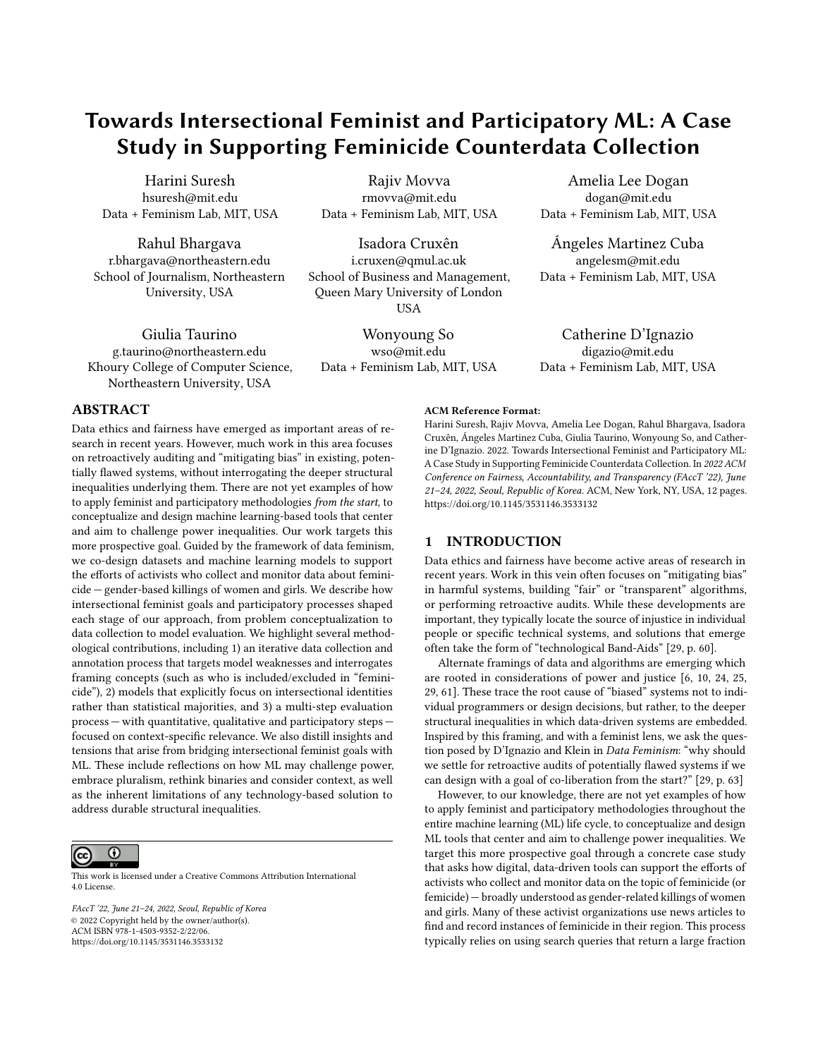# Towards Intersectional Feminist and Participatory ML: A Case Study in Supporting Feminicide Counterdata Collection

Harini Suresh hsuresh@mit.edu Data + Feminism Lab, MIT, USA

Rahul Bhargava r.bhargava@northeastern.edu School of Journalism, Northeastern University, USA

Giulia Taurino g.taurino@northeastern.edu Khoury College of Computer Science, Northeastern University, USA

Rajiv Movva rmovva@mit.edu Data + Feminism Lab, MIT, USA

Isadora Cruxên i.cruxen@qmul.ac.uk School of Business and Management, Queen Mary University of London USA

Wonyoung So wso@mit.edu Data + Feminism Lab, MIT, USA

Amelia Lee Dogan dogan@mit.edu Data + Feminism Lab, MIT, USA

Ángeles Martinez Cuba angelesm@mit.edu Data + Feminism Lab, MIT, USA

Catherine D'Ignazio digazio@mit.edu Data + Feminism Lab, MIT, USA

## ABSTRACT

Data ethics and fairness have emerged as important areas of research in recent years. However, much work in this area focuses on retroactively auditing and "mitigating bias" in existing, potentially flawed systems, without interrogating the deeper structural inequalities underlying them. There are not yet examples of how to apply feminist and participatory methodologies from the start, to conceptualize and design machine learning-based tools that center and aim to challenge power inequalities. Our work targets this more prospective goal. Guided by the framework of data feminism, we co-design datasets and machine learning models to support the efforts of activists who collect and monitor data about feminicide — gender-based killings of women and girls. We describe how intersectional feminist goals and participatory processes shaped each stage of our approach, from problem conceptualization to data collection to model evaluation. We highlight several methodological contributions, including 1) an iterative data collection and annotation process that targets model weaknesses and interrogates framing concepts (such as who is included/excluded in "feminicide"), 2) models that explicitly focus on intersectional identities rather than statistical majorities, and 3) a multi-step evaluation process — with quantitative, qualitative and participatory steps focused on context-specific relevance. We also distill insights and tensions that arise from bridging intersectional feminist goals with ML. These include reflections on how ML may challenge power, embrace pluralism, rethink binaries and consider context, as well as the inherent limitations of any technology-based solution to address durable structural inequalities.

#### $\odot$ (cc)

This work is licensed under a [Creative Commons Attribution International](https://creativecommons.org/licenses/by/4.0/) [4.0 License.](https://creativecommons.org/licenses/by/4.0/)

FAccT '22, June 21–24, 2022, Seoul, Republic of Korea © 2022 Copyright held by the owner/author(s). ACM ISBN 978-1-4503-9352-2/22/06. <https://doi.org/10.1145/3531146.3533132>

#### ACM Reference Format:

Harini Suresh, Rajiv Movva, Amelia Lee Dogan, Rahul Bhargava, Isadora Cruxên, Ángeles Martinez Cuba, Giulia Taurino, Wonyoung So, and Catherine D'Ignazio. 2022. Towards Intersectional Feminist and Participatory ML: A Case Study in Supporting Feminicide Counterdata Collection. In 2022 ACM Conference on Fairness, Accountability, and Transparency (FAccT '22), June 21–24, 2022, Seoul, Republic of Korea. ACM, New York, NY, USA, [12](#page-11-0) pages. <https://doi.org/10.1145/3531146.3533132>

#### 1 INTRODUCTION

Data ethics and fairness have become active areas of research in recent years. Work in this vein often focuses on "mitigating bias" in harmful systems, building "fair" or "transparent" algorithms, or performing retroactive audits. While these developments are important, they typically locate the source of injustice in individual people or specific technical systems, and solutions that emerge often take the form of "technological Band-Aids" [\[29,](#page-10-0) p. 60].

Alternate framings of data and algorithms are emerging which are rooted in considerations of power and justice [\[6,](#page-9-0) [10,](#page-10-1) [24,](#page-10-2) [25,](#page-10-3) [29,](#page-10-0) [61\]](#page-11-1). These trace the root cause of "biased" systems not to individual programmers or design decisions, but rather, to the deeper structural inequalities in which data-driven systems are embedded. Inspired by this framing, and with a feminist lens, we ask the question posed by D'Ignazio and Klein in Data Feminism: "why should we settle for retroactive audits of potentially flawed systems if we can design with a goal of co-liberation from the start?" [\[29,](#page-10-0) p. 63]

However, to our knowledge, there are not yet examples of how to apply feminist and participatory methodologies throughout the entire machine learning (ML) life cycle, to conceptualize and design ML tools that center and aim to challenge power inequalities. We target this more prospective goal through a concrete case study that asks how digital, data-driven tools can support the efforts of activists who collect and monitor data on the topic of feminicide (or femicide) — broadly understood as gender-related killings of women and girls. Many of these activist organizations use news articles to find and record instances of feminicide in their region. This process typically relies on using search queries that return a large fraction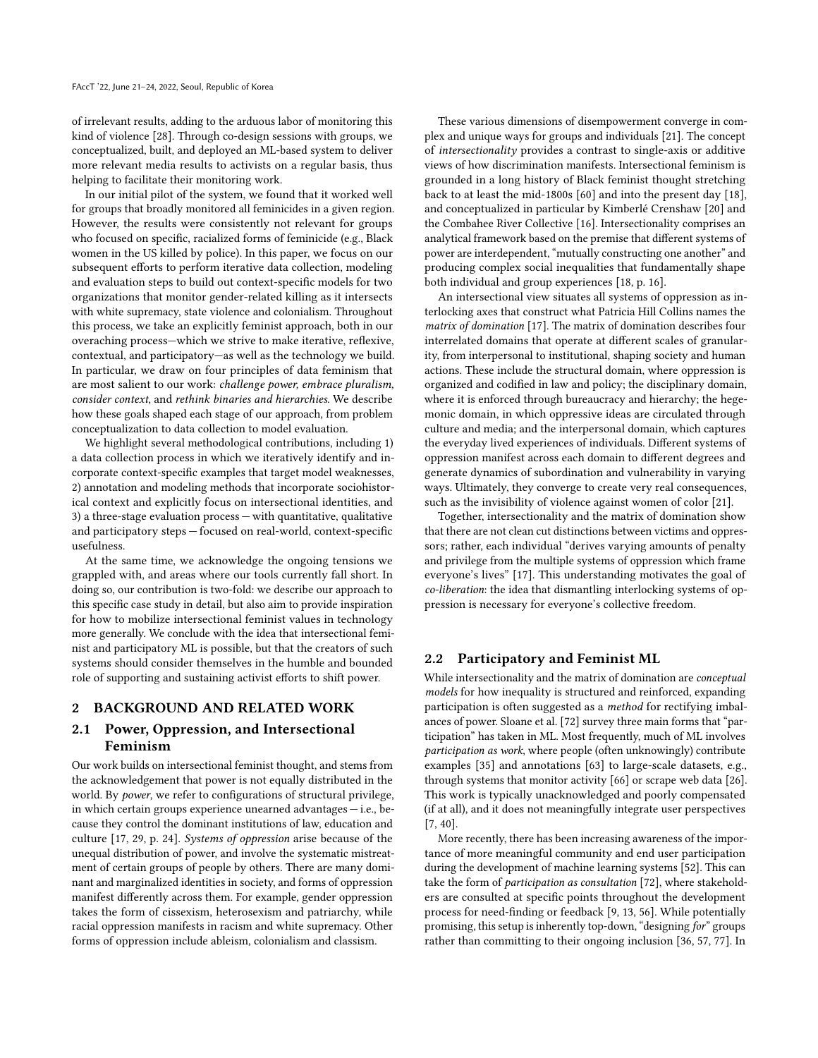of irrelevant results, adding to the arduous labor of monitoring this kind of violence [\[28\]](#page-10-4). Through co-design sessions with groups, we conceptualized, built, and deployed an ML-based system to deliver more relevant media results to activists on a regular basis, thus helping to facilitate their monitoring work.

In our initial pilot of the system, we found that it worked well for groups that broadly monitored all feminicides in a given region. However, the results were consistently not relevant for groups who focused on specific, racialized forms of feminicide (e.g., Black women in the US killed by police). In this paper, we focus on our subsequent efforts to perform iterative data collection, modeling and evaluation steps to build out context-specific models for two organizations that monitor gender-related killing as it intersects with white supremacy, state violence and colonialism. Throughout this process, we take an explicitly feminist approach, both in our overaching process—which we strive to make iterative, reflexive, contextual, and participatory—as well as the technology we build. In particular, we draw on four principles of data feminism that are most salient to our work: challenge power, embrace pluralism, consider context, and rethink binaries and hierarchies. We describe how these goals shaped each stage of our approach, from problem conceptualization to data collection to model evaluation.

We highlight several methodological contributions, including 1) a data collection process in which we iteratively identify and incorporate context-specific examples that target model weaknesses, 2) annotation and modeling methods that incorporate sociohistorical context and explicitly focus on intersectional identities, and 3) a three-stage evaluation process — with quantitative, qualitative and participatory steps — focused on real-world, context-specific usefulness.

At the same time, we acknowledge the ongoing tensions we grappled with, and areas where our tools currently fall short. In doing so, our contribution is two-fold: we describe our approach to this specific case study in detail, but also aim to provide inspiration for how to mobilize intersectional feminist values in technology more generally. We conclude with the idea that intersectional feminist and participatory ML is possible, but that the creators of such systems should consider themselves in the humble and bounded role of supporting and sustaining activist efforts to shift power.

### 2 BACKGROUND AND RELATED WORK

## 2.1 Power, Oppression, and Intersectional Feminism

Our work builds on intersectional feminist thought, and stems from the acknowledgement that power is not equally distributed in the world. By power, we refer to configurations of structural privilege, in which certain groups experience unearned advantages — i.e., because they control the dominant institutions of law, education and culture [\[17,](#page-10-5) [29,](#page-10-0) p. 24]. Systems of oppression arise because of the unequal distribution of power, and involve the systematic mistreatment of certain groups of people by others. There are many dominant and marginalized identities in society, and forms of oppression manifest differently across them. For example, gender oppression takes the form of cissexism, heterosexism and patriarchy, while racial oppression manifests in racism and white supremacy. Other forms of oppression include ableism, colonialism and classism.

These various dimensions of disempowerment converge in complex and unique ways for groups and individuals [\[21\]](#page-10-6). The concept of intersectionality provides a contrast to single-axis or additive views of how discrimination manifests. Intersectional feminism is grounded in a long history of Black feminist thought stretching back to at least the mid-1800s [\[60\]](#page-10-7) and into the present day [\[18\]](#page-10-8), and conceptualized in particular by Kimberlé Crenshaw [\[20\]](#page-10-9) and the Combahee River Collective [\[16\]](#page-10-10). Intersectionality comprises an analytical framework based on the premise that different systems of power are interdependent, "mutually constructing one another" and producing complex social inequalities that fundamentally shape both individual and group experiences [\[18,](#page-10-8) p. 16].

An intersectional view situates all systems of oppression as interlocking axes that construct what Patricia Hill Collins names the matrix of domination [\[17\]](#page-10-5). The matrix of domination describes four interrelated domains that operate at different scales of granularity, from interpersonal to institutional, shaping society and human actions. These include the structural domain, where oppression is organized and codified in law and policy; the disciplinary domain, where it is enforced through bureaucracy and hierarchy; the hegemonic domain, in which oppressive ideas are circulated through culture and media; and the interpersonal domain, which captures the everyday lived experiences of individuals. Different systems of oppression manifest across each domain to different degrees and generate dynamics of subordination and vulnerability in varying ways. Ultimately, they converge to create very real consequences, such as the invisibility of violence against women of color [\[21\]](#page-10-6).

Together, intersectionality and the matrix of domination show that there are not clean cut distinctions between victims and oppressors; rather, each individual "derives varying amounts of penalty and privilege from the multiple systems of oppression which frame everyone's lives" [\[17\]](#page-10-5). This understanding motivates the goal of co-liberation: the idea that dismantling interlocking systems of oppression is necessary for everyone's collective freedom.

#### 2.2 Participatory and Feminist ML

While intersectionality and the matrix of domination are conceptual models for how inequality is structured and reinforced, expanding participation is often suggested as a method for rectifying imbalances of power. Sloane et al. [\[72\]](#page-11-2) survey three main forms that "participation" has taken in ML. Most frequently, much of ML involves participation as work, where people (often unknowingly) contribute examples [\[35\]](#page-10-11) and annotations [\[63\]](#page-11-3) to large-scale datasets, e.g., through systems that monitor activity [\[66\]](#page-11-4) or scrape web data [\[26\]](#page-10-12). This work is typically unacknowledged and poorly compensated (if at all), and it does not meaningfully integrate user perspectives [\[7,](#page-9-1) [40\]](#page-10-13).

More recently, there has been increasing awareness of the importance of more meaningful community and end user participation during the development of machine learning systems [\[52\]](#page-10-14). This can take the form of participation as consultation [\[72\]](#page-11-2), where stakeholders are consulted at specific points throughout the development process for need-finding or feedback [\[9,](#page-10-15) [13,](#page-10-16) [56\]](#page-10-17). While potentially promising, this setup is inherently top-down, "designing for" groups rather than committing to their ongoing inclusion [\[36,](#page-10-18) [57,](#page-10-19) [77\]](#page-11-5). In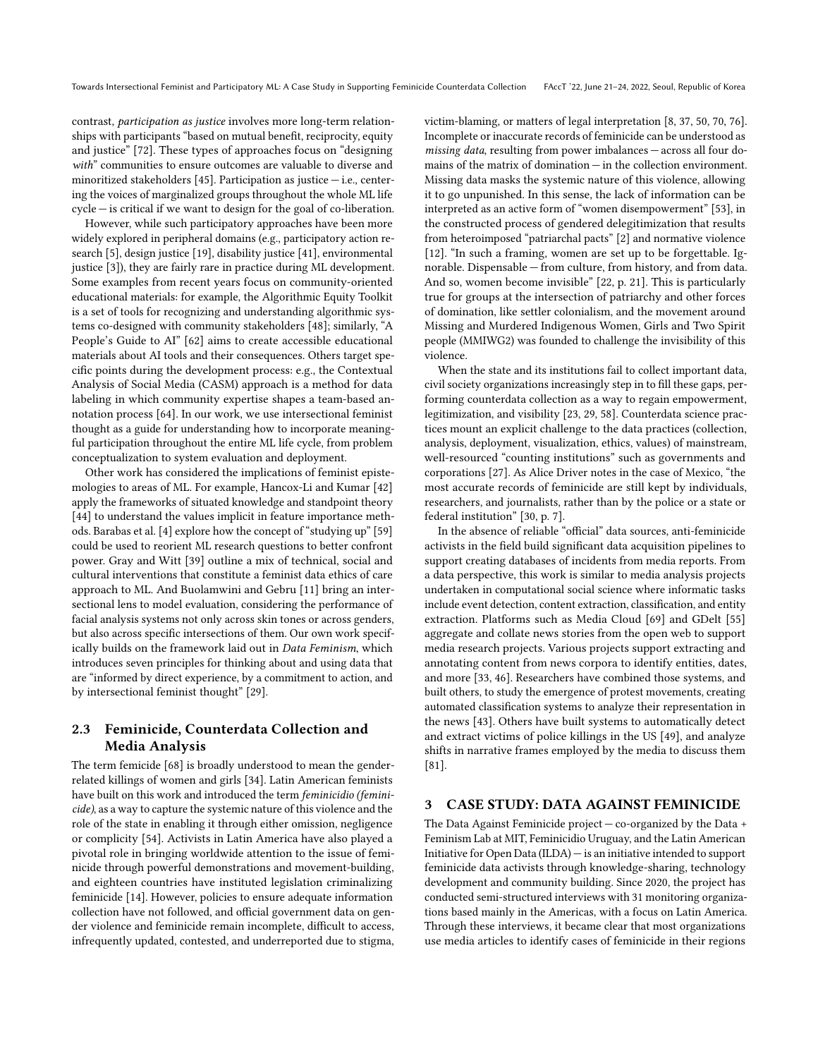contrast, participation as justice involves more long-term relationships with participants "based on mutual benefit, reciprocity, equity and justice" [\[72\]](#page-11-2). These types of approaches focus on "designing with" communities to ensure outcomes are valuable to diverse and minoritized stakeholders [\[45\]](#page-10-20). Participation as justice  $-$  i.e., centering the voices of marginalized groups throughout the whole ML life cycle — is critical if we want to design for the goal of co-liberation.

However, while such participatory approaches have been more widely explored in peripheral domains (e.g., participatory action research [\[5\]](#page-9-2), design justice [\[19\]](#page-10-21), disability justice [\[41\]](#page-10-22), environmental justice [\[3\]](#page-9-3)), they are fairly rare in practice during ML development. Some examples from recent years focus on community-oriented educational materials: for example, the Algorithmic Equity Toolkit is a set of tools for recognizing and understanding algorithmic systems co-designed with community stakeholders [\[48\]](#page-10-23); similarly, "A People's Guide to AI" [\[62\]](#page-11-6) aims to create accessible educational materials about AI tools and their consequences. Others target specific points during the development process: e.g., the Contextual Analysis of Social Media (CASM) approach is a method for data labeling in which community expertise shapes a team-based annotation process [\[64\]](#page-11-7). In our work, we use intersectional feminist thought as a guide for understanding how to incorporate meaningful participation throughout the entire ML life cycle, from problem conceptualization to system evaluation and deployment.

Other work has considered the implications of feminist epistemologies to areas of ML. For example, Hancox-Li and Kumar [\[42\]](#page-10-24) apply the frameworks of situated knowledge and standpoint theory [\[44\]](#page-10-25) to understand the values implicit in feature importance methods. Barabas et al. [\[4\]](#page-9-4) explore how the concept of "studying up" [\[59\]](#page-10-26) could be used to reorient ML research questions to better confront power. Gray and Witt [\[39\]](#page-10-27) outline a mix of technical, social and cultural interventions that constitute a feminist data ethics of care approach to ML. And Buolamwini and Gebru [\[11\]](#page-10-28) bring an intersectional lens to model evaluation, considering the performance of facial analysis systems not only across skin tones or across genders, but also across specific intersections of them. Our own work specifically builds on the framework laid out in Data Feminism, which introduces seven principles for thinking about and using data that are "informed by direct experience, by a commitment to action, and by intersectional feminist thought" [\[29\]](#page-10-0).

# 2.3 Feminicide, Counterdata Collection and Media Analysis

The term femicide [\[68\]](#page-11-8) is broadly understood to mean the genderrelated killings of women and girls [\[34\]](#page-10-29). Latin American feminists have built on this work and introduced the term feminicidio (feminicide), as a way to capture the systemic nature of this violence and the role of the state in enabling it through either omission, negligence or complicity [\[54\]](#page-10-30). Activists in Latin America have also played a pivotal role in bringing worldwide attention to the issue of feminicide through powerful demonstrations and movement-building, and eighteen countries have instituted legislation criminalizing feminicide [\[14\]](#page-10-31). However, policies to ensure adequate information collection have not followed, and official government data on gender violence and feminicide remain incomplete, difficult to access, infrequently updated, contested, and underreported due to stigma,

victim-blaming, or matters of legal interpretation [\[8,](#page-10-32) [37,](#page-10-33) [50,](#page-10-34) [70,](#page-11-9) [76\]](#page-11-10). Incomplete or inaccurate records of feminicide can be understood as missing data, resulting from power imbalances — across all four domains of the matrix of domination — in the collection environment. Missing data masks the systemic nature of this violence, allowing it to go unpunished. In this sense, the lack of information can be interpreted as an active form of "women disempowerment" [\[53\]](#page-10-35), in the constructed process of gendered delegitimization that results from heteroimposed "patriarchal pacts" [\[2\]](#page-9-5) and normative violence [\[12\]](#page-10-36). "In such a framing, women are set up to be forgettable. Ignorable. Dispensable — from culture, from history, and from data. And so, women become invisible" [\[22,](#page-10-37) p. 21]. This is particularly true for groups at the intersection of patriarchy and other forces of domination, like settler colonialism, and the movement around Missing and Murdered Indigenous Women, Girls and Two Spirit people (MMIWG2) was founded to challenge the invisibility of this violence.

When the state and its institutions fail to collect important data, civil society organizations increasingly step in to fill these gaps, performing counterdata collection as a way to regain empowerment, legitimization, and visibility [\[23,](#page-10-38) [29,](#page-10-0) [58\]](#page-10-39). Counterdata science practices mount an explicit challenge to the data practices (collection, analysis, deployment, visualization, ethics, values) of mainstream, well-resourced "counting institutions" such as governments and corporations [\[27\]](#page-10-40). As Alice Driver notes in the case of Mexico, "the most accurate records of feminicide are still kept by individuals, researchers, and journalists, rather than by the police or a state or federal institution" [\[30,](#page-10-41) p. 7].

In the absence of reliable "official" data sources, anti-feminicide activists in the field build significant data acquisition pipelines to support creating databases of incidents from media reports. From a data perspective, this work is similar to media analysis projects undertaken in computational social science where informatic tasks include event detection, content extraction, classification, and entity extraction. Platforms such as Media Cloud [\[69\]](#page-11-11) and GDelt [\[55\]](#page-10-42) aggregate and collate news stories from the open web to support media research projects. Various projects support extracting and annotating content from news corpora to identify entities, dates, and more [\[33,](#page-10-43) [46\]](#page-10-44). Researchers have combined those systems, and built others, to study the emergence of protest movements, creating automated classification systems to analyze their representation in the news [\[43\]](#page-10-45). Others have built systems to automatically detect and extract victims of police killings in the US [\[49\]](#page-10-46), and analyze shifts in narrative frames employed by the media to discuss them [\[81\]](#page-11-12).

#### 3 CASE STUDY: DATA AGAINST FEMINICIDE

The Data Against Feminicide project — co-organized by the Data + Feminism Lab at MIT, Feminicidio Uruguay, and the Latin American Initiative for Open Data (ILDA) — is an initiative intended to support feminicide data activists through knowledge-sharing, technology development and community building. Since 2020, the project has conducted semi-structured interviews with 31 monitoring organizations based mainly in the Americas, with a focus on Latin America. Through these interviews, it became clear that most organizations use media articles to identify cases of feminicide in their regions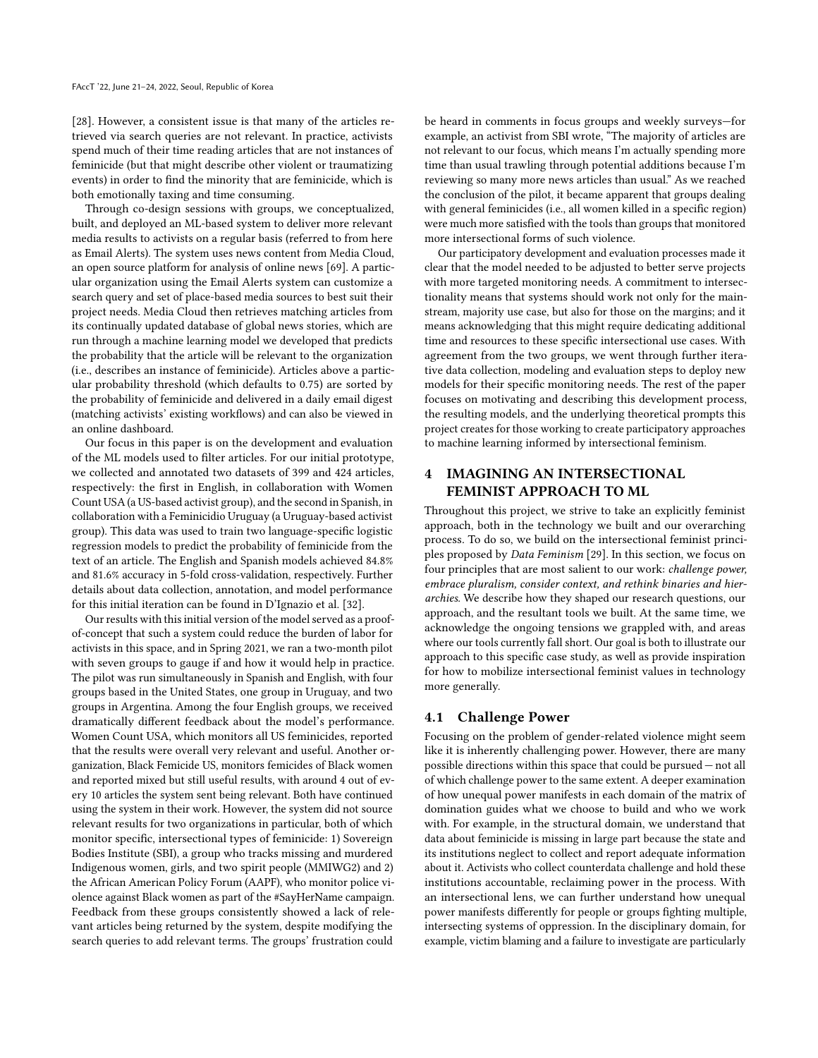[\[28\]](#page-10-4). However, a consistent issue is that many of the articles retrieved via search queries are not relevant. In practice, activists spend much of their time reading articles that are not instances of feminicide (but that might describe other violent or traumatizing events) in order to find the minority that are feminicide, which is both emotionally taxing and time consuming.

Through co-design sessions with groups, we conceptualized, built, and deployed an ML-based system to deliver more relevant media results to activists on a regular basis (referred to from here as Email Alerts). The system uses news content from Media Cloud, an open source platform for analysis of online news [\[69\]](#page-11-11). A particular organization using the Email Alerts system can customize a search query and set of place-based media sources to best suit their project needs. Media Cloud then retrieves matching articles from its continually updated database of global news stories, which are run through a machine learning model we developed that predicts the probability that the article will be relevant to the organization (i.e., describes an instance of feminicide). Articles above a particular probability threshold (which defaults to 0.75) are sorted by the probability of feminicide and delivered in a daily email digest (matching activists' existing workflows) and can also be viewed in an online dashboard.

Our focus in this paper is on the development and evaluation of the ML models used to filter articles. For our initial prototype, we collected and annotated two datasets of 399 and 424 articles, respectively: the first in English, in collaboration with Women Count USA (a US-based activist group), and the second in Spanish, in collaboration with a Feminicidio Uruguay (a Uruguay-based activist group). This data was used to train two language-specific logistic regression models to predict the probability of feminicide from the text of an article. The English and Spanish models achieved 84.8% and 81.6% accuracy in 5-fold cross-validation, respectively. Further details about data collection, annotation, and model performance for this initial iteration can be found in D'Ignazio et al. [\[32\]](#page-10-47).

Our results with this initial version of the model served as a proofof-concept that such a system could reduce the burden of labor for activists in this space, and in Spring 2021, we ran a two-month pilot with seven groups to gauge if and how it would help in practice. The pilot was run simultaneously in Spanish and English, with four groups based in the United States, one group in Uruguay, and two groups in Argentina. Among the four English groups, we received dramatically different feedback about the model's performance. Women Count USA, which monitors all US feminicides, reported that the results were overall very relevant and useful. Another organization, Black Femicide US, monitors femicides of Black women and reported mixed but still useful results, with around 4 out of every 10 articles the system sent being relevant. Both have continued using the system in their work. However, the system did not source relevant results for two organizations in particular, both of which monitor specific, intersectional types of feminicide: 1) Sovereign Bodies Institute (SBI), a group who tracks missing and murdered Indigenous women, girls, and two spirit people (MMIWG2) and 2) the African American Policy Forum (AAPF), who monitor police violence against Black women as part of the #SayHerName campaign. Feedback from these groups consistently showed a lack of relevant articles being returned by the system, despite modifying the search queries to add relevant terms. The groups' frustration could

be heard in comments in focus groups and weekly surveys—for example, an activist from SBI wrote, "The majority of articles are not relevant to our focus, which means I'm actually spending more time than usual trawling through potential additions because I'm reviewing so many more news articles than usual." As we reached the conclusion of the pilot, it became apparent that groups dealing with general feminicides (i.e., all women killed in a specific region) were much more satisfied with the tools than groups that monitored more intersectional forms of such violence.

Our participatory development and evaluation processes made it clear that the model needed to be adjusted to better serve projects with more targeted monitoring needs. A commitment to intersectionality means that systems should work not only for the mainstream, majority use case, but also for those on the margins; and it means acknowledging that this might require dedicating additional time and resources to these specific intersectional use cases. With agreement from the two groups, we went through further iterative data collection, modeling and evaluation steps to deploy new models for their specific monitoring needs. The rest of the paper focuses on motivating and describing this development process, the resulting models, and the underlying theoretical prompts this project creates for those working to create participatory approaches to machine learning informed by intersectional feminism.

# 4 IMAGINING AN INTERSECTIONAL FEMINIST APPROACH TO ML

Throughout this project, we strive to take an explicitly feminist approach, both in the technology we built and our overarching process. To do so, we build on the intersectional feminist principles proposed by Data Feminism [\[29\]](#page-10-0). In this section, we focus on four principles that are most salient to our work: challenge power, embrace pluralism, consider context, and rethink binaries and hierarchies. We describe how they shaped our research questions, our approach, and the resultant tools we built. At the same time, we acknowledge the ongoing tensions we grappled with, and areas where our tools currently fall short. Our goal is both to illustrate our approach to this specific case study, as well as provide inspiration for how to mobilize intersectional feminist values in technology more generally.

## 4.1 Challenge Power

Focusing on the problem of gender-related violence might seem like it is inherently challenging power. However, there are many possible directions within this space that could be pursued — not all of which challenge power to the same extent. A deeper examination of how unequal power manifests in each domain of the matrix of domination guides what we choose to build and who we work with. For example, in the structural domain, we understand that data about feminicide is missing in large part because the state and its institutions neglect to collect and report adequate information about it. Activists who collect counterdata challenge and hold these institutions accountable, reclaiming power in the process. With an intersectional lens, we can further understand how unequal power manifests differently for people or groups fighting multiple, intersecting systems of oppression. In the disciplinary domain, for example, victim blaming and a failure to investigate are particularly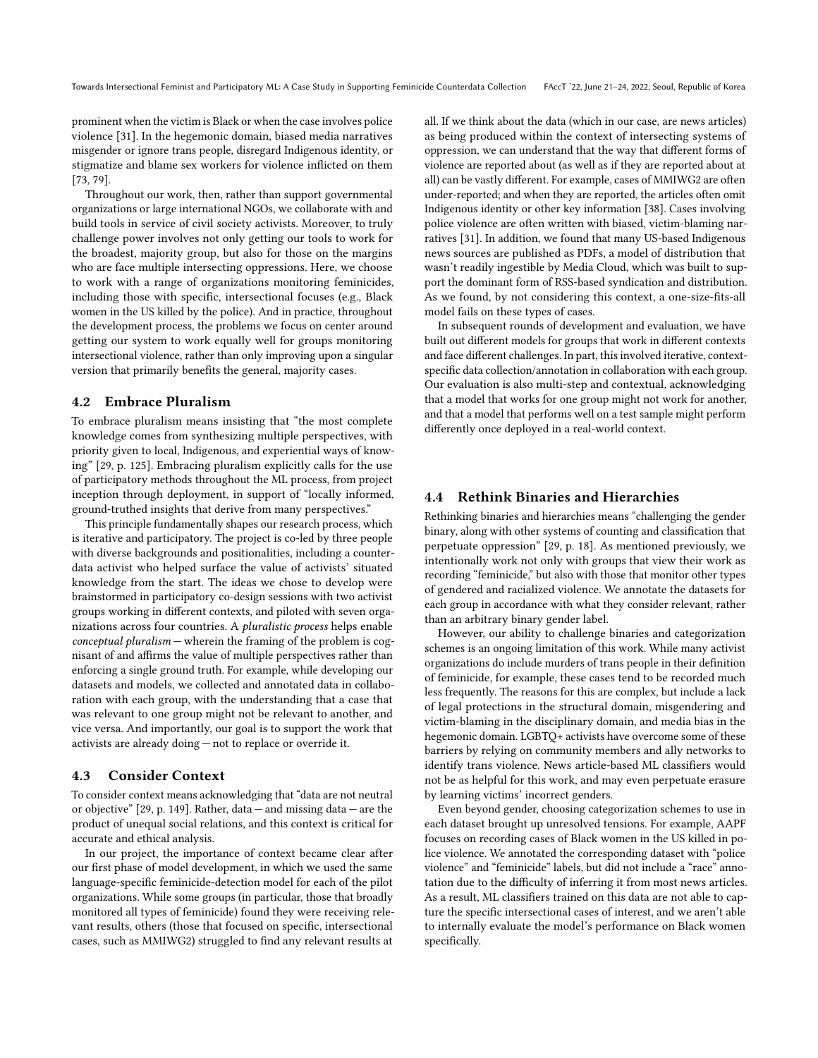prominent when the victim is Black or when the case involves police violence [\[31\]](#page-10-48). In the hegemonic domain, biased media narratives misgender or ignore trans people, disregard Indigenous identity, or stigmatize and blame sex workers for violence inflicted on them [\[73,](#page-11-13) [79\]](#page-11-14).

Throughout our work, then, rather than support governmental organizations or large international NGOs, we collaborate with and build tools in service of civil society activists. Moreover, to truly challenge power involves not only getting our tools to work for the broadest, majority group, but also for those on the margins who are face multiple intersecting oppressions. Here, we choose to work with a range of organizations monitoring feminicides, including those with specific, intersectional focuses (e.g., Black women in the US killed by the police). And in practice, throughout the development process, the problems we focus on center around getting our system to work equally well for groups monitoring intersectional violence, rather than only improving upon a singular version that primarily benefits the general, majority cases.

#### 4.2 Embrace Pluralism

To embrace pluralism means insisting that "the most complete knowledge comes from synthesizing multiple perspectives, with priority given to local, Indigenous, and experiential ways of knowing" [\[29,](#page-10-0) p. 125]. Embracing pluralism explicitly calls for the use of participatory methods throughout the ML process, from project inception through deployment, in support of "locally informed, ground-truthed insights that derive from many perspectives."

This principle fundamentally shapes our research process, which is iterative and participatory. The project is co-led by three people with diverse backgrounds and positionalities, including a counterdata activist who helped surface the value of activists' situated knowledge from the start. The ideas we chose to develop were brainstormed in participatory co-design sessions with two activist groups working in different contexts, and piloted with seven organizations across four countries. A pluralistic process helps enable conceptual pluralism — wherein the framing of the problem is cognisant of and affirms the value of multiple perspectives rather than enforcing a single ground truth. For example, while developing our datasets and models, we collected and annotated data in collaboration with each group, with the understanding that a case that was relevant to one group might not be relevant to another, and vice versa. And importantly, our goal is to support the work that activists are already doing — not to replace or override it.

#### 4.3 Consider Context

To consider context means acknowledging that "data are not neutral or objective" [\[29,](#page-10-0) p. 149]. Rather, data — and missing data — are the product of unequal social relations, and this context is critical for accurate and ethical analysis.

In our project, the importance of context became clear after our first phase of model development, in which we used the same language-specific feminicide-detection model for each of the pilot organizations. While some groups (in particular, those that broadly monitored all types of feminicide) found they were receiving relevant results, others (those that focused on specific, intersectional cases, such as MMIWG2) struggled to find any relevant results at

all. If we think about the data (which in our case, are news articles) as being produced within the context of intersecting systems of oppression, we can understand that the way that different forms of violence are reported about (as well as if they are reported about at all) can be vastly different. For example, cases of MMIWG2 are often under-reported; and when they are reported, the articles often omit Indigenous identity or other key information [\[38\]](#page-10-49). Cases involving police violence are often written with biased, victim-blaming narratives [\[31\]](#page-10-48). In addition, we found that many US-based Indigenous news sources are published as PDFs, a model of distribution that wasn't readily ingestible by Media Cloud, which was built to support the dominant form of RSS-based syndication and distribution. As we found, by not considering this context, a one-size-fits-all model fails on these types of cases.

In subsequent rounds of development and evaluation, we have built out different models for groups that work in different contexts and face different challenges. In part, this involved iterative, contextspecific data collection/annotation in collaboration with each group. Our evaluation is also multi-step and contextual, acknowledging that a model that works for one group might not work for another, and that a model that performs well on a test sample might perform differently once deployed in a real-world context.

#### 4.4 Rethink Binaries and Hierarchies

Rethinking binaries and hierarchies means "challenging the gender binary, along with other systems of counting and classification that perpetuate oppression" [\[29,](#page-10-0) p. 18]. As mentioned previously, we intentionally work not only with groups that view their work as recording "feminicide," but also with those that monitor other types of gendered and racialized violence. We annotate the datasets for each group in accordance with what they consider relevant, rather than an arbitrary binary gender label.

However, our ability to challenge binaries and categorization schemes is an ongoing limitation of this work. While many activist organizations do include murders of trans people in their definition of feminicide, for example, these cases tend to be recorded much less frequently. The reasons for this are complex, but include a lack of legal protections in the structural domain, misgendering and victim-blaming in the disciplinary domain, and media bias in the hegemonic domain. LGBTQ+ activists have overcome some of these barriers by relying on community members and ally networks to identify trans violence. News article-based ML classifiers would not be as helpful for this work, and may even perpetuate erasure by learning victims' incorrect genders.

Even beyond gender, choosing categorization schemes to use in each dataset brought up unresolved tensions. For example, AAPF focuses on recording cases of Black women in the US killed in police violence. We annotated the corresponding dataset with "police violence" and "feminicide" labels, but did not include a "race" annotation due to the difficulty of inferring it from most news articles. As a result, ML classifiers trained on this data are not able to capture the specific intersectional cases of interest, and we aren't able to internally evaluate the model's performance on Black women specifically.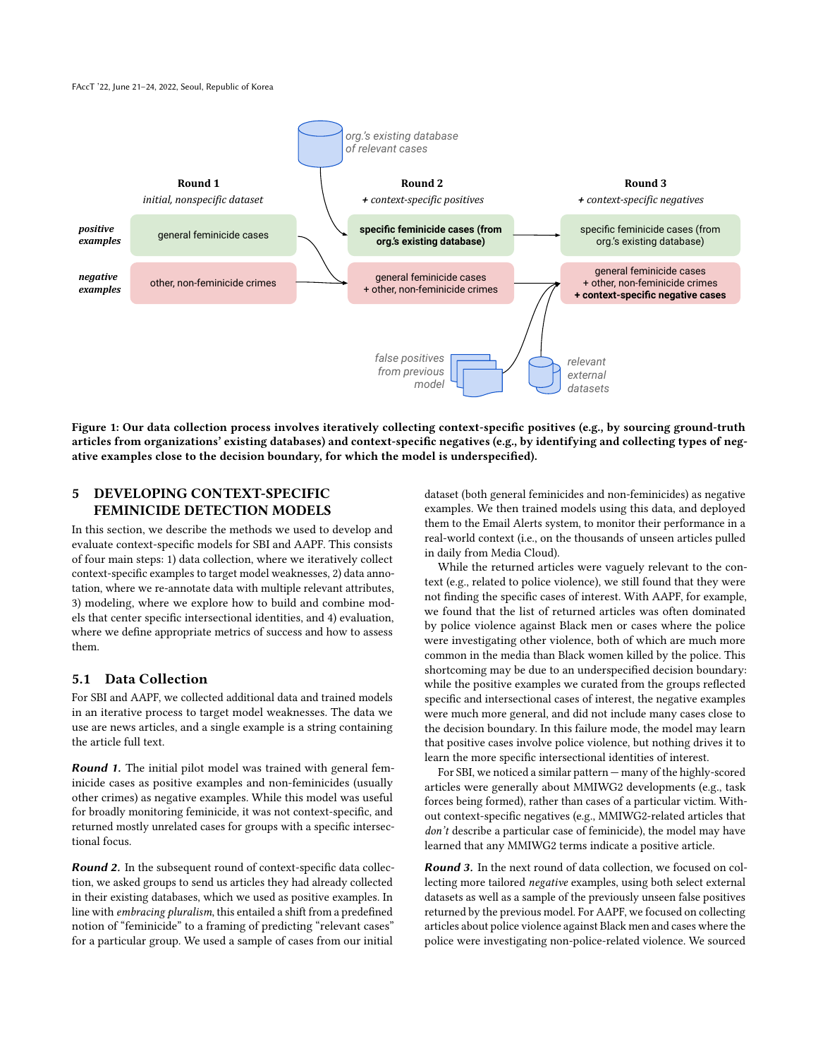FAccT '22, June 21–24, 2022, Seoul, Republic of Korea



Figure 1: Our data collection process involves iteratively collecting context-specific positives (e.g., by sourcing ground-truth articles from organizations' existing databases) and context-specific negatives (e.g., by identifying and collecting types of negative examples close to the decision boundary, for which the model is underspecified).

# 5 DEVELOPING CONTEXT-SPECIFIC FEMINICIDE DETECTION MODELS

In this section, we describe the methods we used to develop and evaluate context-specific models for SBI and AAPF. This consists of four main steps: 1) data collection, where we iteratively collect context-specific examples to target model weaknesses, 2) data annotation, where we re-annotate data with multiple relevant attributes, 3) modeling, where we explore how to build and combine models that center specific intersectional identities, and 4) evaluation, where we define appropriate metrics of success and how to assess them.

## 5.1 Data Collection

For SBI and AAPF, we collected additional data and trained models in an iterative process to target model weaknesses. The data we use are news articles, and a single example is a string containing the article full text.

**Round 1.** The initial pilot model was trained with general feminicide cases as positive examples and non-feminicides (usually other crimes) as negative examples. While this model was useful for broadly monitoring feminicide, it was not context-specific, and returned mostly unrelated cases for groups with a specific intersectional focus.

Round 2. In the subsequent round of context-specific data collection, we asked groups to send us articles they had already collected in their existing databases, which we used as positive examples. In line with embracing pluralism, this entailed a shift from a predefined notion of "feminicide" to a framing of predicting "relevant cases" for a particular group. We used a sample of cases from our initial

dataset (both general feminicides and non-feminicides) as negative examples. We then trained models using this data, and deployed them to the Email Alerts system, to monitor their performance in a real-world context (i.e., on the thousands of unseen articles pulled in daily from Media Cloud).

While the returned articles were vaguely relevant to the context (e.g., related to police violence), we still found that they were not finding the specific cases of interest. With AAPF, for example, we found that the list of returned articles was often dominated by police violence against Black men or cases where the police were investigating other violence, both of which are much more common in the media than Black women killed by the police. This shortcoming may be due to an underspecified decision boundary: while the positive examples we curated from the groups reflected specific and intersectional cases of interest, the negative examples were much more general, and did not include many cases close to the decision boundary. In this failure mode, the model may learn that positive cases involve police violence, but nothing drives it to learn the more specific intersectional identities of interest.

For SBI, we noticed a similar pattern — many of the highly-scored articles were generally about MMIWG2 developments (e.g., task forces being formed), rather than cases of a particular victim. Without context-specific negatives (e.g., MMIWG2-related articles that don't describe a particular case of feminicide), the model may have learned that any MMIWG2 terms indicate a positive article.

Round 3. In the next round of data collection, we focused on collecting more tailored negative examples, using both select external datasets as well as a sample of the previously unseen false positives returned by the previous model. For AAPF, we focused on collecting articles about police violence against Black men and cases where the police were investigating non-police-related violence. We sourced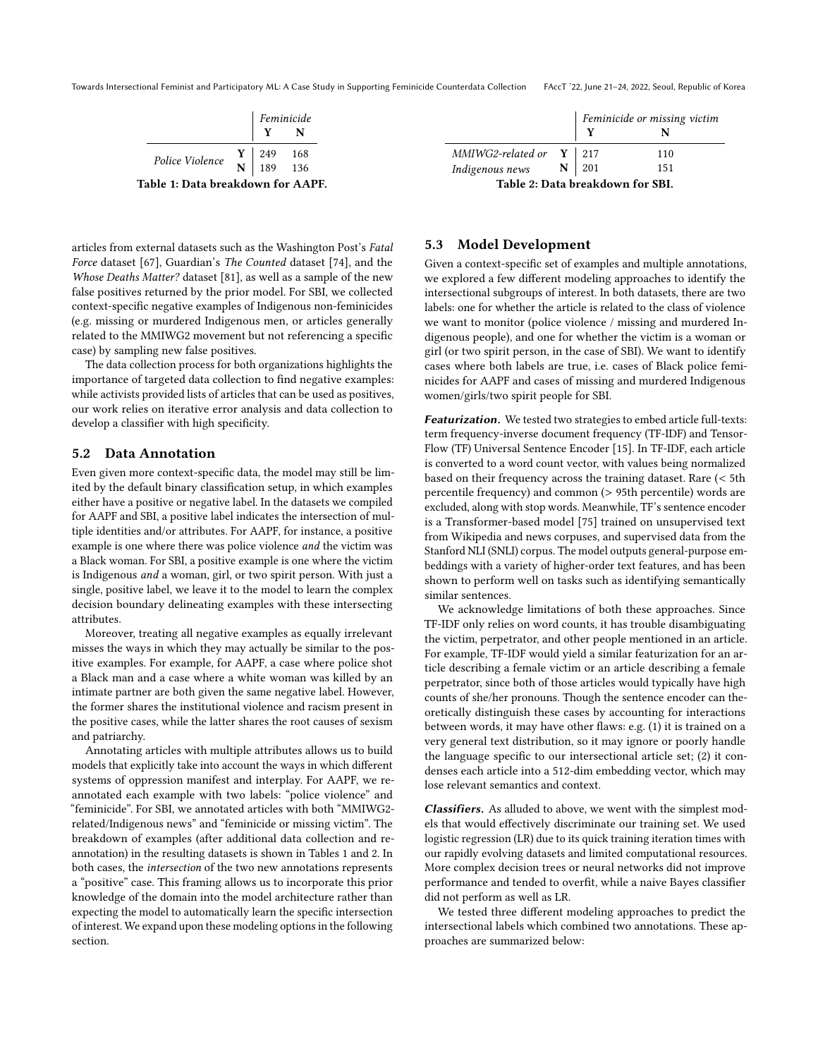<span id="page-6-0"></span>Towards Intersectional Feminist and Participatory ML: A Case Study in Supporting Feminicide Counterdata Collection FAccT '22, June 21–24, 2022, Seoul, Republic of Korea

|                                                                                                          | $\begin{array}{ l } \hline \textit{Feminicide}\\ \hline \textbf{Y} & \textbf{N} \end{array}$ |  |  |
|----------------------------------------------------------------------------------------------------------|----------------------------------------------------------------------------------------------|--|--|
|                                                                                                          |                                                                                              |  |  |
| Police Violence $\begin{array}{c c} \n\text{Y} & 249 & 168 \\ \hline\n\text{N} & 189 & 136\n\end{array}$ |                                                                                              |  |  |
|                                                                                                          |                                                                                              |  |  |
| Table 1: Data breakdown for AAPF.                                                                        |                                                                                              |  |  |

articles from external datasets such as the Washington Post's Fatal Force dataset [\[67\]](#page-11-15), Guardian's The Counted dataset [\[74\]](#page-11-16), and the Whose Deaths Matter? dataset [\[81\]](#page-11-12), as well as a sample of the new false positives returned by the prior model. For SBI, we collected context-specific negative examples of Indigenous non-feminicides (e.g. missing or murdered Indigenous men, or articles generally related to the MMIWG2 movement but not referencing a specific case) by sampling new false positives.

The data collection process for both organizations highlights the importance of targeted data collection to find negative examples: while activists provided lists of articles that can be used as positives, our work relies on iterative error analysis and data collection to develop a classifier with high specificity.

#### 5.2 Data Annotation

Even given more context-specific data, the model may still be limited by the default binary classification setup, in which examples either have a positive or negative label. In the datasets we compiled for AAPF and SBI, a positive label indicates the intersection of multiple identities and/or attributes. For AAPF, for instance, a positive example is one where there was police violence and the victim was a Black woman. For SBI, a positive example is one where the victim is Indigenous and a woman, girl, or two spirit person. With just a single, positive label, we leave it to the model to learn the complex decision boundary delineating examples with these intersecting attributes.

Moreover, treating all negative examples as equally irrelevant misses the ways in which they may actually be similar to the positive examples. For example, for AAPF, a case where police shot a Black man and a case where a white woman was killed by an intimate partner are both given the same negative label. However, the former shares the institutional violence and racism present in the positive cases, while the latter shares the root causes of sexism and patriarchy.

Annotating articles with multiple attributes allows us to build models that explicitly take into account the ways in which different systems of oppression manifest and interplay. For AAPF, we reannotated each example with two labels: "police violence" and "feminicide". For SBI, we annotated articles with both "MMIWG2 related/Indigenous news" and "feminicide or missing victim". The breakdown of examples (after additional data collection and reannotation) in the resulting datasets is shown in Tables [1](#page-6-0) and [2.](#page-6-1) In both cases, the intersection of the two new annotations represents a "positive" case. This framing allows us to incorporate this prior knowledge of the domain into the model architecture rather than expecting the model to automatically learn the specific intersection of interest. We expand upon these modeling options in the following section.

<span id="page-6-1"></span>

|                                                                                                                         |  | Feminicide or missing victim |     |  |
|-------------------------------------------------------------------------------------------------------------------------|--|------------------------------|-----|--|
|                                                                                                                         |  | $\mathbf Y$                  |     |  |
|                                                                                                                         |  |                              | 110 |  |
| MMIWG2-related or $\begin{array}{c c} \mathbf{Y} & 217 \\ \hline \text{Indigenous news} & \mathbf{N} & 201 \end{array}$ |  |                              | 151 |  |
| Table 2: Data breakdown for SBI.                                                                                        |  |                              |     |  |

#### 5.3 Model Development

Given a context-specific set of examples and multiple annotations, we explored a few different modeling approaches to identify the intersectional subgroups of interest. In both datasets, there are two labels: one for whether the article is related to the class of violence we want to monitor (police violence / missing and murdered Indigenous people), and one for whether the victim is a woman or girl (or two spirit person, in the case of SBI). We want to identify cases where both labels are true, i.e. cases of Black police feminicides for AAPF and cases of missing and murdered Indigenous women/girls/two spirit people for SBI.

Featurization. We tested two strategies to embed article full-texts: term frequency-inverse document frequency (TF-IDF) and Tensor-Flow (TF) Universal Sentence Encoder [\[15\]](#page-10-50). In TF-IDF, each article is converted to a word count vector, with values being normalized based on their frequency across the training dataset. Rare (< 5th percentile frequency) and common (> 95th percentile) words are excluded, along with stop words. Meanwhile, TF's sentence encoder is a Transformer-based model [\[75\]](#page-11-17) trained on unsupervised text from Wikipedia and news corpuses, and supervised data from the Stanford NLI (SNLI) corpus. The model outputs general-purpose embeddings with a variety of higher-order text features, and has been shown to perform well on tasks such as identifying semantically similar sentences.

We acknowledge limitations of both these approaches. Since TF-IDF only relies on word counts, it has trouble disambiguating the victim, perpetrator, and other people mentioned in an article. For example, TF-IDF would yield a similar featurization for an article describing a female victim or an article describing a female perpetrator, since both of those articles would typically have high counts of she/her pronouns. Though the sentence encoder can theoretically distinguish these cases by accounting for interactions between words, it may have other flaws: e.g. (1) it is trained on a very general text distribution, so it may ignore or poorly handle the language specific to our intersectional article set; (2) it condenses each article into a 512-dim embedding vector, which may lose relevant semantics and context.

Classifiers. As alluded to above, we went with the simplest models that would effectively discriminate our training set. We used logistic regression (LR) due to its quick training iteration times with our rapidly evolving datasets and limited computational resources. More complex decision trees or neural networks did not improve performance and tended to overfit, while a naive Bayes classifier did not perform as well as LR.

We tested three different modeling approaches to predict the intersectional labels which combined two annotations. These approaches are summarized below: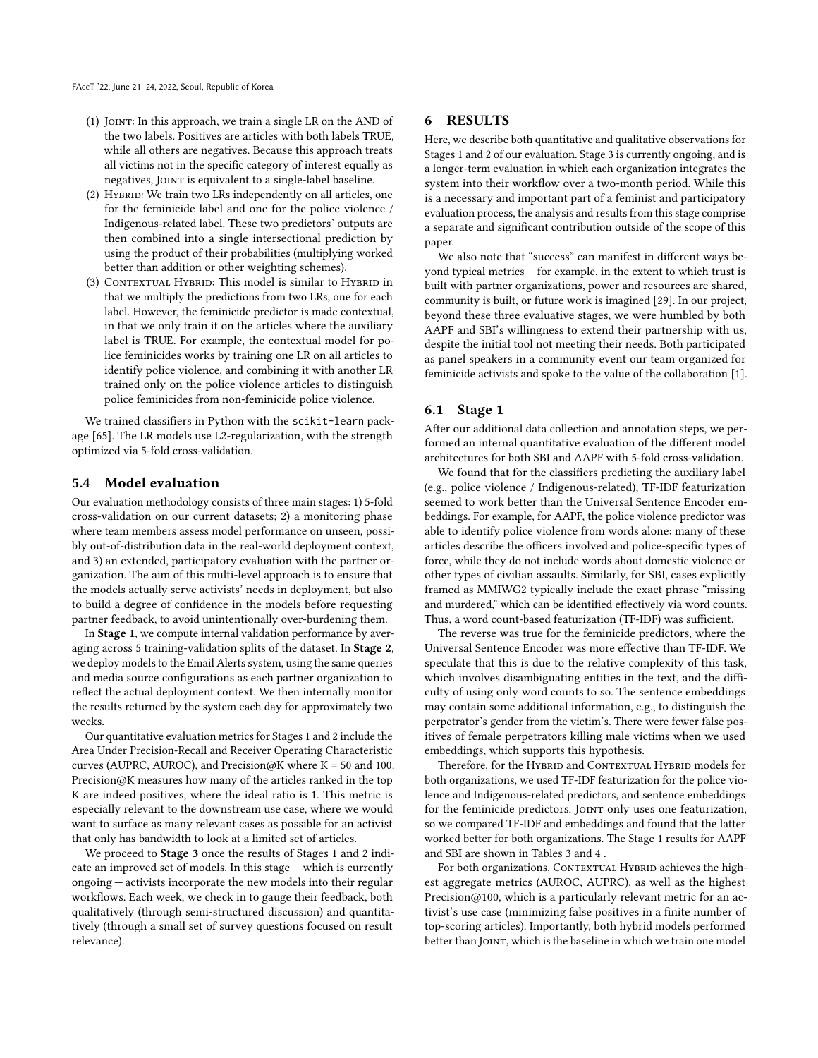- (1) Joint: In this approach, we train a single LR on the AND of the two labels. Positives are articles with both labels TRUE, while all others are negatives. Because this approach treats all victims not in the specific category of interest equally as negatives, Joint is equivalent to a single-label baseline.
- (2) HYBRID: We train two LRs independently on all articles, one for the feminicide label and one for the police violence / Indigenous-related label. These two predictors' outputs are then combined into a single intersectional prediction by using the product of their probabilities (multiplying worked better than addition or other weighting schemes).
- (3) CONTEXTUAL HYBRID: This model is similar to HYBRID in that we multiply the predictions from two LRs, one for each label. However, the feminicide predictor is made contextual, in that we only train it on the articles where the auxiliary label is TRUE. For example, the contextual model for police feminicides works by training one LR on all articles to identify police violence, and combining it with another LR trained only on the police violence articles to distinguish police feminicides from non-feminicide police violence.

We trained classifiers in Python with the scikit-learn package [\[65\]](#page-11-18). The LR models use L2-regularization, with the strength optimized via 5-fold cross-validation.

#### 5.4 Model evaluation

Our evaluation methodology consists of three main stages: 1) 5-fold cross-validation on our current datasets; 2) a monitoring phase where team members assess model performance on unseen, possibly out-of-distribution data in the real-world deployment context, and 3) an extended, participatory evaluation with the partner organization. The aim of this multi-level approach is to ensure that the models actually serve activists' needs in deployment, but also to build a degree of confidence in the models before requesting partner feedback, to avoid unintentionally over-burdening them.

In Stage 1, we compute internal validation performance by averaging across 5 training-validation splits of the dataset. In Stage 2, we deploy models to the Email Alerts system, using the same queries and media source configurations as each partner organization to reflect the actual deployment context. We then internally monitor the results returned by the system each day for approximately two weeks.

Our quantitative evaluation metrics for Stages 1 and 2 include the Area Under Precision-Recall and Receiver Operating Characteristic curves (AUPRC, AUROC), and Precision@K where  $K = 50$  and 100. Precision@K measures how many of the articles ranked in the top K are indeed positives, where the ideal ratio is 1. This metric is especially relevant to the downstream use case, where we would want to surface as many relevant cases as possible for an activist that only has bandwidth to look at a limited set of articles.

We proceed to **Stage 3** once the results of Stages 1 and 2 indicate an improved set of models. In this stage — which is currently ongoing — activists incorporate the new models into their regular workflows. Each week, we check in to gauge their feedback, both qualitatively (through semi-structured discussion) and quantitatively (through a small set of survey questions focused on result relevance).

#### 6 RESULTS

Here, we describe both quantitative and qualitative observations for Stages 1 and 2 of our evaluation. Stage 3 is currently ongoing, and is a longer-term evaluation in which each organization integrates the system into their workflow over a two-month period. While this is a necessary and important part of a feminist and participatory evaluation process, the analysis and results from this stage comprise a separate and significant contribution outside of the scope of this paper.

We also note that "success" can manifest in different ways beyond typical metrics — for example, in the extent to which trust is built with partner organizations, power and resources are shared, community is built, or future work is imagined [\[29\]](#page-10-0). In our project, beyond these three evaluative stages, we were humbled by both AAPF and SBI's willingness to extend their partnership with us, despite the initial tool not meeting their needs. Both participated as panel speakers in a community event our team organized for feminicide activists and spoke to the value of the collaboration [\[1\]](#page-9-6).

#### 6.1 Stage 1

After our additional data collection and annotation steps, we performed an internal quantitative evaluation of the different model architectures for both SBI and AAPF with 5-fold cross-validation.

We found that for the classifiers predicting the auxiliary label (e.g., police violence / Indigenous-related), TF-IDF featurization seemed to work better than the Universal Sentence Encoder embeddings. For example, for AAPF, the police violence predictor was able to identify police violence from words alone: many of these articles describe the officers involved and police-specific types of force, while they do not include words about domestic violence or other types of civilian assaults. Similarly, for SBI, cases explicitly framed as MMIWG2 typically include the exact phrase "missing and murdered," which can be identified effectively via word counts. Thus, a word count-based featurization (TF-IDF) was sufficient.

The reverse was true for the feminicide predictors, where the Universal Sentence Encoder was more effective than TF-IDF. We speculate that this is due to the relative complexity of this task, which involves disambiguating entities in the text, and the difficulty of using only word counts to so. The sentence embeddings may contain some additional information, e.g., to distinguish the perpetrator's gender from the victim's. There were fewer false positives of female perpetrators killing male victims when we used embeddings, which supports this hypothesis.

Therefore, for the HYBRID and CONTEXTUAL HYBRID models for both organizations, we used TF-IDF featurization for the police violence and Indigenous-related predictors, and sentence embeddings for the feminicide predictors. JOINT only uses one featurization, so we compared TF-IDF and embeddings and found that the latter worked better for both organizations. The Stage 1 results for AAPF and SBI are shown in Tables [3](#page-8-0) and [4](#page-8-1) .

For both organizations, CONTEXTUAL HYBRID achieves the highest aggregate metrics (AUROC, AUPRC), as well as the highest Precision@100, which is a particularly relevant metric for an activist's use case (minimizing false positives in a finite number of top-scoring articles). Importantly, both hybrid models performed better than JOINT, which is the baseline in which we train one model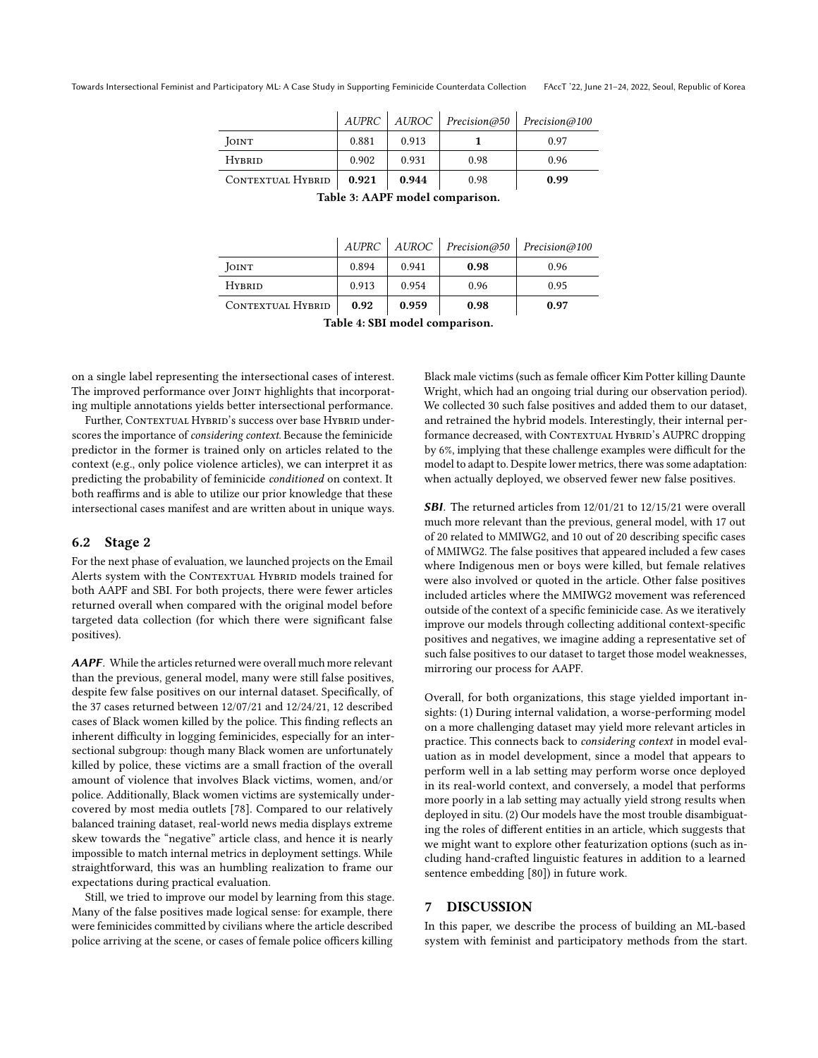<span id="page-8-0"></span>

|                   |       | AUPRC   AUROC | Precision@50 | Precision@100 |
|-------------------|-------|---------------|--------------|---------------|
| JOINT             | 0.881 | 0.913         |              | 0.97          |
| <b>HYBRID</b>     | 0.902 | 0.931         | 0.98         | 0.96          |
| CONTEXTUAL HYBRID | 0.921 | 0.944         | 0.98         | 0.99          |

| Table 3: AAPF model comparison. |  |  |
|---------------------------------|--|--|
|---------------------------------|--|--|

|                   |          | AUPRC   AUROC | Precision@50 | Precision@100 |
|-------------------|----------|---------------|--------------|---------------|
| JOINT             | 0.894    | 0.941         | 0.98         | 0.96          |
| <b>HYBRID</b>     | 0.913    | 0.954         | 0.96         | 0.95          |
| CONTEXTUAL HYBRID | 0.92     | 0.959         | 0.98         | 0.97          |
| ---               | $. \sim$ |               |              |               |

Table 4: SBI model comparison.

<span id="page-8-1"></span>on a single label representing the intersectional cases of interest. The improved performance over JOINT highlights that incorporating multiple annotations yields better intersectional performance.

Further, CONTEXTUAL HYBRID's success over base HYBRID underscores the importance of considering context. Because the feminicide predictor in the former is trained only on articles related to the context (e.g., only police violence articles), we can interpret it as predicting the probability of feminicide conditioned on context. It both reaffirms and is able to utilize our prior knowledge that these intersectional cases manifest and are written about in unique ways.

#### 6.2 Stage 2

For the next phase of evaluation, we launched projects on the Email Alerts system with the CONTEXTUAL HYBRID models trained for both AAPF and SBI. For both projects, there were fewer articles returned overall when compared with the original model before targeted data collection (for which there were significant false positives).

AAPF. While the articles returned were overall much more relevant than the previous, general model, many were still false positives, despite few false positives on our internal dataset. Specifically, of the 37 cases returned between 12/07/21 and 12/24/21, 12 described cases of Black women killed by the police. This finding reflects an inherent difficulty in logging feminicides, especially for an intersectional subgroup: though many Black women are unfortunately killed by police, these victims are a small fraction of the overall amount of violence that involves Black victims, women, and/or police. Additionally, Black women victims are systemically undercovered by most media outlets [\[78\]](#page-11-19). Compared to our relatively balanced training dataset, real-world news media displays extreme skew towards the "negative" article class, and hence it is nearly impossible to match internal metrics in deployment settings. While straightforward, this was an humbling realization to frame our expectations during practical evaluation.

Still, we tried to improve our model by learning from this stage. Many of the false positives made logical sense: for example, there were feminicides committed by civilians where the article described police arriving at the scene, or cases of female police officers killing

Black male victims (such as female officer Kim Potter killing Daunte Wright, which had an ongoing trial during our observation period). We collected 30 such false positives and added them to our dataset, and retrained the hybrid models. Interestingly, their internal performance decreased, with CONTEXTUAL HYBRID's AUPRC dropping by 6%, implying that these challenge examples were difficult for the model to adapt to. Despite lower metrics, there was some adaptation: when actually deployed, we observed fewer new false positives.

SBI. The returned articles from 12/01/21 to 12/15/21 were overall much more relevant than the previous, general model, with 17 out of 20 related to MMIWG2, and 10 out of 20 describing specific cases of MMIWG2. The false positives that appeared included a few cases where Indigenous men or boys were killed, but female relatives were also involved or quoted in the article. Other false positives included articles where the MMIWG2 movement was referenced outside of the context of a specific feminicide case. As we iteratively improve our models through collecting additional context-specific positives and negatives, we imagine adding a representative set of such false positives to our dataset to target those model weaknesses, mirroring our process for AAPF.

Overall, for both organizations, this stage yielded important insights: (1) During internal validation, a worse-performing model on a more challenging dataset may yield more relevant articles in practice. This connects back to considering context in model evaluation as in model development, since a model that appears to perform well in a lab setting may perform worse once deployed in its real-world context, and conversely, a model that performs more poorly in a lab setting may actually yield strong results when deployed in situ. (2) Our models have the most trouble disambiguating the roles of different entities in an article, which suggests that we might want to explore other featurization options (such as including hand-crafted linguistic features in addition to a learned sentence embedding [\[80\]](#page-11-20)) in future work.

#### 7 DISCUSSION

In this paper, we describe the process of building an ML-based system with feminist and participatory methods from the start.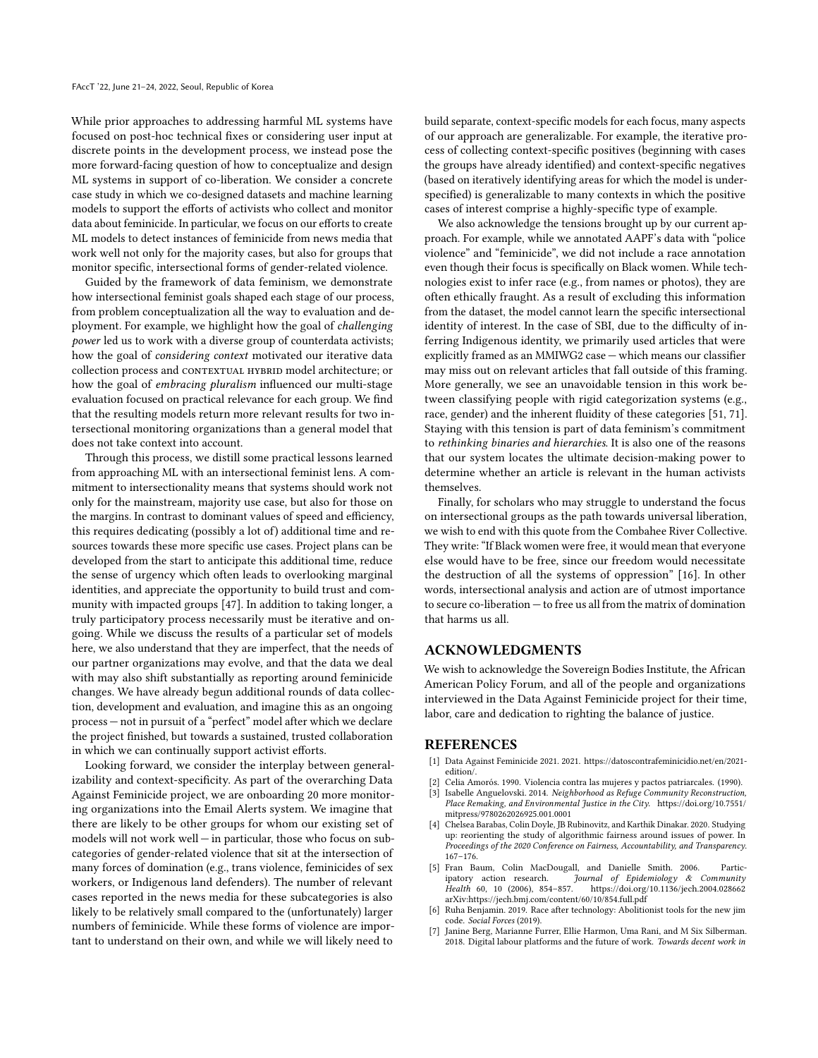While prior approaches to addressing harmful ML systems have focused on post-hoc technical fixes or considering user input at discrete points in the development process, we instead pose the more forward-facing question of how to conceptualize and design ML systems in support of co-liberation. We consider a concrete case study in which we co-designed datasets and machine learning models to support the efforts of activists who collect and monitor data about feminicide. In particular, we focus on our efforts to create ML models to detect instances of feminicide from news media that work well not only for the majority cases, but also for groups that monitor specific, intersectional forms of gender-related violence.

Guided by the framework of data feminism, we demonstrate how intersectional feminist goals shaped each stage of our process, from problem conceptualization all the way to evaluation and deployment. For example, we highlight how the goal of challenging power led us to work with a diverse group of counterdata activists; how the goal of considering context motivated our iterative data collection process and CONTEXTUAL HYBRID model architecture; or how the goal of embracing pluralism influenced our multi-stage evaluation focused on practical relevance for each group. We find that the resulting models return more relevant results for two intersectional monitoring organizations than a general model that does not take context into account.

Through this process, we distill some practical lessons learned from approaching ML with an intersectional feminist lens. A commitment to intersectionality means that systems should work not only for the mainstream, majority use case, but also for those on the margins. In contrast to dominant values of speed and efficiency, this requires dedicating (possibly a lot of) additional time and resources towards these more specific use cases. Project plans can be developed from the start to anticipate this additional time, reduce the sense of urgency which often leads to overlooking marginal identities, and appreciate the opportunity to build trust and community with impacted groups [\[47\]](#page-10-51). In addition to taking longer, a truly participatory process necessarily must be iterative and ongoing. While we discuss the results of a particular set of models here, we also understand that they are imperfect, that the needs of our partner organizations may evolve, and that the data we deal with may also shift substantially as reporting around feminicide changes. We have already begun additional rounds of data collection, development and evaluation, and imagine this as an ongoing process — not in pursuit of a "perfect" model after which we declare the project finished, but towards a sustained, trusted collaboration in which we can continually support activist efforts.

Looking forward, we consider the interplay between generalizability and context-specificity. As part of the overarching Data Against Feminicide project, we are onboarding 20 more monitoring organizations into the Email Alerts system. We imagine that there are likely to be other groups for whom our existing set of models will not work well — in particular, those who focus on subcategories of gender-related violence that sit at the intersection of many forces of domination (e.g., trans violence, feminicides of sex workers, or Indigenous land defenders). The number of relevant cases reported in the news media for these subcategories is also likely to be relatively small compared to the (unfortunately) larger numbers of feminicide. While these forms of violence are important to understand on their own, and while we will likely need to

build separate, context-specific models for each focus, many aspects of our approach are generalizable. For example, the iterative process of collecting context-specific positives (beginning with cases the groups have already identified) and context-specific negatives (based on iteratively identifying areas for which the model is underspecified) is generalizable to many contexts in which the positive cases of interest comprise a highly-specific type of example.

We also acknowledge the tensions brought up by our current approach. For example, while we annotated AAPF's data with "police violence" and "feminicide", we did not include a race annotation even though their focus is specifically on Black women. While technologies exist to infer race (e.g., from names or photos), they are often ethically fraught. As a result of excluding this information from the dataset, the model cannot learn the specific intersectional identity of interest. In the case of SBI, due to the difficulty of inferring Indigenous identity, we primarily used articles that were explicitly framed as an MMIWG2 case — which means our classifier may miss out on relevant articles that fall outside of this framing. More generally, we see an unavoidable tension in this work between classifying people with rigid categorization systems (e.g., race, gender) and the inherent fluidity of these categories [\[51,](#page-10-52) [71\]](#page-11-21). Staying with this tension is part of data feminism's commitment to rethinking binaries and hierarchies. It is also one of the reasons that our system locates the ultimate decision-making power to determine whether an article is relevant in the human activists themselves.

Finally, for scholars who may struggle to understand the focus on intersectional groups as the path towards universal liberation, we wish to end with this quote from the Combahee River Collective. They write: "If Black women were free, it would mean that everyone else would have to be free, since our freedom would necessitate the destruction of all the systems of oppression" [\[16\]](#page-10-10). In other words, intersectional analysis and action are of utmost importance to secure co-liberation — to free us all from the matrix of domination that harms us all.

## ACKNOWLEDGMENTS

We wish to acknowledge the Sovereign Bodies Institute, the African American Policy Forum, and all of the people and organizations interviewed in the Data Against Feminicide project for their time, labor, care and dedication to righting the balance of justice.

#### REFERENCES

- <span id="page-9-6"></span>[1] Data Against Feminicide 2021. 2021. https://datoscontrafeminicidio.net/en/2021 edition/.
- <span id="page-9-5"></span>Celia Amorós. 1990. Violencia contra las mujeres y pactos patriarcales. (1990).
- <span id="page-9-3"></span>[3] Isabelle Anguelovski. 2014. Neighborhood as Refuge Community Reconstruction, Place Remaking, and Environmental Justice in the City. [https://doi.org/10.7551/](https://doi.org/10.7551/mitpress/9780262026925.001.0001) [mitpress/9780262026925.001.0001](https://doi.org/10.7551/mitpress/9780262026925.001.0001)
- <span id="page-9-4"></span>[4] Chelsea Barabas, Colin Doyle, JB Rubinovitz, and Karthik Dinakar. 2020. Studying up: reorienting the study of algorithmic fairness around issues of power. In Proceedings of the 2020 Conference on Fairness, Accountability, and Transparency. 167–176.
- <span id="page-9-2"></span>[5] Fran Baum, Colin MacDougall, and Danielle Smith. 2006. Participatory action research. Journal of Epidemiology & Community Health 60, 10 (2006), 854–857. https://doi.org/10.1136/jech.2004.028662 https://doi.org/10.1136/jech.2004.028662 arXiv[:https://jech.bmj.com/content/60/10/854.full.pdf](https://arxiv.org/abs/https://jech.bmj.com/content/60/10/854.full.pdf)
- <span id="page-9-0"></span>Ruha Benjamin. 2019. Race after technology: Abolitionist tools for the new jim code. Social Forces (2019).
- <span id="page-9-1"></span>[7] Janine Berg, Marianne Furrer, Ellie Harmon, Uma Rani, and M Six Silberman. 2018. Digital labour platforms and the future of work. Towards decent work in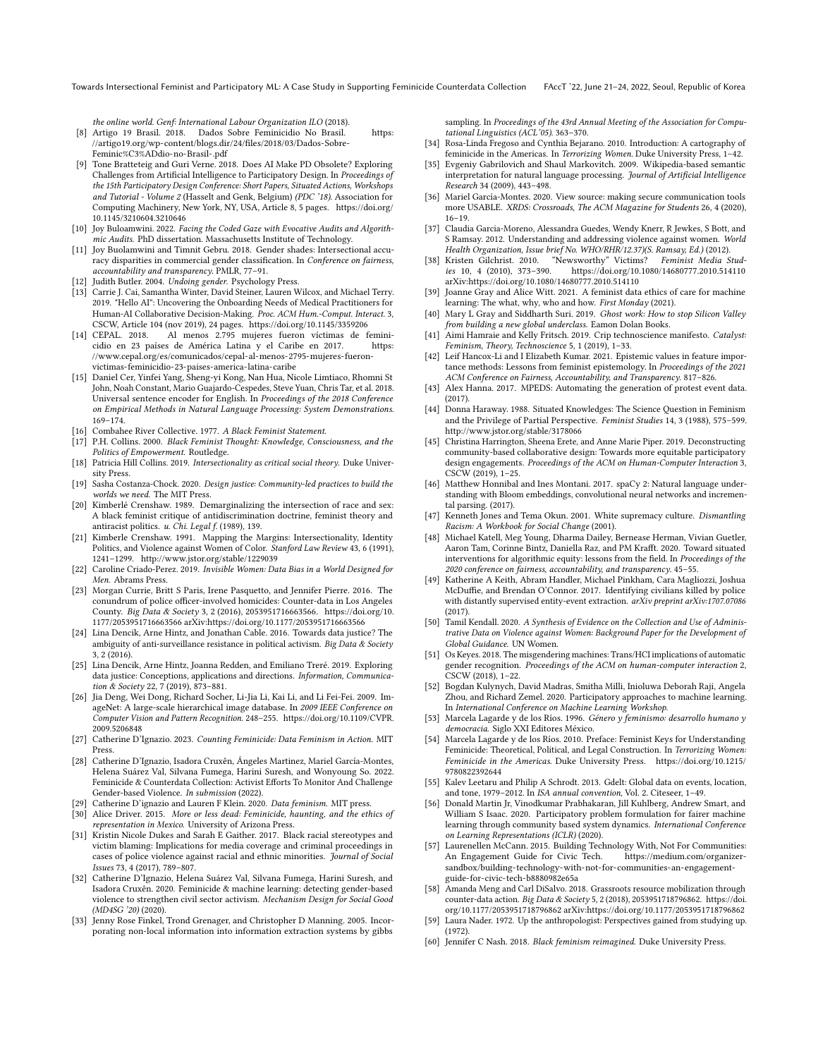Towards Intersectional Feminist and Participatory ML: A Case Study in Supporting Feminicide Counterdata Collection FAccT '22, June 21–24, 2022, Seoul, Republic of Korea

the online world. Genf: International Labour Organization ILO (2018).

- <span id="page-10-32"></span>[8] Artigo 19 Brasil. 2018. Dados Sobre Feminicidio No Brasil. [https:](https://artigo19.org/wp-content/blogs.dir/24/files/2018/03/Dados-Sobre-Feminic%C3%ADdio-no-Brasil-.pdf) [//artigo19.org/wp-content/blogs.dir/24/files/2018/03/Dados-Sobre-](https://artigo19.org/wp-content/blogs.dir/24/files/2018/03/Dados-Sobre-Feminic%C3%ADdio-no-Brasil-.pdf)[Feminic%C3%ADdio-no-Brasil-.pdf](https://artigo19.org/wp-content/blogs.dir/24/files/2018/03/Dados-Sobre-Feminic%C3%ADdio-no-Brasil-.pdf)
- <span id="page-10-15"></span>[9] Tone Bratteteig and Guri Verne. 2018. Does AI Make PD Obsolete? Exploring Challenges from Artificial Intelligence to Participatory Design. In Proceedings of the 15th Participatory Design Conference: Short Papers, Situated Actions, Workshops and Tutorial - Volume 2 (Hasselt and Genk, Belgium) (PDC '18). Association for Computing Machinery, New York, NY, USA, Article 8, 5 pages. [https://doi.org/](https://doi.org/10.1145/3210604.3210646) [10.1145/3210604.3210646](https://doi.org/10.1145/3210604.3210646)
- <span id="page-10-1"></span>[10] Joy Buloamwini. 2022. Facing the Coded Gaze with Evocative Audits and Algorithmic Audits. PhD dissertation. Massachusetts Institute of Technology.
- <span id="page-10-28"></span>[11] Joy Buolamwini and Timnit Gebru. 2018. Gender shades: Intersectional accuracy disparities in commercial gender classification. In Conference on fairness, accountability and transparency. PMLR, 77–91.
- <span id="page-10-36"></span>[12] Judith Butler. 2004. Undoing gender. Psychology Press.
- <span id="page-10-16"></span>[13] Carrie J. Cai, Samantha Winter, David Steiner, Lauren Wilcox, and Michael Terry. 2019. "Hello AI": Uncovering the Onboarding Needs of Medical Practitioners for Human-AI Collaborative Decision-Making. Proc. ACM Hum.-Comput. Interact. 3, CSCW, Article 104 (nov 2019), 24 pages.<https://doi.org/10.1145/3359206>
- <span id="page-10-31"></span>[14] CEPAL. 2018. Al menos 2.795 mujeres fueron víctimas de feminicidio en 23 países de América Latina y el Caribe en 2017. [https:](https://www.cepal.org/es/comunicados/cepal-al-menos-2795-mujeres-fueron-victimas-feminicidio-23-paises-america-latina-caribe) [//www.cepal.org/es/comunicados/cepal-al-menos-2795-mujeres-fueron](https://www.cepal.org/es/comunicados/cepal-al-menos-2795-mujeres-fueron-victimas-feminicidio-23-paises-america-latina-caribe)[victimas-feminicidio-23-paises-america-latina-caribe](https://www.cepal.org/es/comunicados/cepal-al-menos-2795-mujeres-fueron-victimas-feminicidio-23-paises-america-latina-caribe)
- <span id="page-10-50"></span>[15] Daniel Cer, Yinfei Yang, Sheng-yi Kong, Nan Hua, Nicole Limtiaco, Rhomni St John, Noah Constant, Mario Guajardo-Cespedes, Steve Yuan, Chris Tar, et al. 2018. Universal sentence encoder for English. In Proceedings of the 2018 Conference on Empirical Methods in Natural Language Processing: System Demonstrations. 169–174.
- <span id="page-10-10"></span>[16] Combahee River Collective. 1977. A Black Feminist Statement.
- <span id="page-10-5"></span>[17] P.H. Collins. 2000. Black Feminist Thought: Knowledge, Consciousness, and the Politics of Empowerment. Routledge.
- <span id="page-10-8"></span>[18] Patricia Hill Collins. 2019. Intersectionality as critical social theory. Duke University Press.
- <span id="page-10-21"></span>[19] Sasha Costanza-Chock. 2020. Design justice: Community-led practices to build the worlds we need. The MIT Press.
- <span id="page-10-9"></span>[20] Kimberlé Crenshaw. 1989. Demarginalizing the intersection of race and sex: A black feminist critique of antidiscrimination doctrine, feminist theory and antiracist politics. u. Chi. Legal f. (1989), 139.
- <span id="page-10-6"></span>[21] Kimberle Crenshaw. 1991. Mapping the Margins: Intersectionality, Identity Politics, and Violence against Women of Color. Stanford Law Review 43, 6 (1991), 1241–1299.<http://www.jstor.org/stable/1229039>
- <span id="page-10-37"></span>[22] Caroline Criado-Perez. 2019. Invisible Women: Data Bias in a World Designed for Men. Abrams Press.
- <span id="page-10-38"></span>[23] Morgan Currie, Britt S Paris, Irene Pasquetto, and Jennifer Pierre. 2016. The conundrum of police officer-involved homicides: Counter-data in Los Angeles County. Big Data & Society 3, 2 (2016), 2053951716663566. [https://doi.org/10.](https://doi.org/10.1177/2053951716663566) [1177/2053951716663566](https://doi.org/10.1177/2053951716663566) arXiv[:https://doi.org/10.1177/2053951716663566](https://arxiv.org/abs/https://doi.org/10.1177/2053951716663566)
- <span id="page-10-2"></span>[24] Lina Dencik, Arne Hintz, and Jonathan Cable. 2016. Towards data justice? The ambiguity of anti-surveillance resistance in political activism. Big Data & Society 3, 2 (2016).
- <span id="page-10-3"></span>[25] Lina Dencik, Arne Hintz, Joanna Redden, and Emiliano Treré. 2019. Exploring data justice: Conceptions, applications and directions. Information, Communication & Society 22, 7 (2019), 873–881.
- <span id="page-10-12"></span>[26] Jia Deng, Wei Dong, Richard Socher, Li-Jia Li, Kai Li, and Li Fei-Fei. 2009. ImageNet: A large-scale hierarchical image database. In 2009 IEEE Conference on Computer Vision and Pattern Recognition. 248–255. [https://doi.org/10.1109/CVPR.](https://doi.org/10.1109/CVPR.2009.5206848) [2009.5206848](https://doi.org/10.1109/CVPR.2009.5206848)
- <span id="page-10-40"></span>[27] Catherine D'Ignazio. 2023. Counting Feminicide: Data Feminism in Action. MIT Press.
- <span id="page-10-4"></span>[28] Catherine D'Ignazio, Isadora Cruxên, Ángeles Martinez, Mariel García-Montes, Helena Suárez Val, Silvana Fumega, Harini Suresh, and Wonyoung So. 2022. Feminicide & Counterdata Collection: Activist Efforts To Monitor And Challenge Gender-based Violence. In submission (2022).
- <span id="page-10-0"></span>[29] Catherine D'ignazio and Lauren F Klein. 2020. Data feminism. MIT press.
- <span id="page-10-41"></span>[30] Alice Driver. 2015. More or less dead: Feminicide, haunting, and the ethics of representation in Mexico. University of Arizona Press.
- <span id="page-10-48"></span>[31] Kristin Nicole Dukes and Sarah E Gaither. 2017. Black racial stereotypes and victim blaming: Implications for media coverage and criminal proceedings in cases of police violence against racial and ethnic minorities. Journal of Social Issues 73, 4 (2017), 789–807.
- <span id="page-10-47"></span>[32] Catherine D'Ignazio, Helena Suárez Val, Silvana Fumega, Harini Suresh, and Isadora Cruxên. 2020. Feminicide & machine learning: detecting gender-based violence to strengthen civil sector activism. Mechanism Design for Social Good (MD4SG '20) (2020).
- <span id="page-10-43"></span>[33] Jenny Rose Finkel, Trond Grenager, and Christopher D Manning. 2005. Incorporating non-local information into information extraction systems by gibbs

sampling. In Proceedings of the 43rd Annual Meeting of the Association for Computational Linguistics (ACL'05). 363–370.

- <span id="page-10-29"></span>[34] Rosa-Linda Fregoso and Cynthia Bejarano. 2010. Introduction: A cartography of feminicide in the Americas. In Terrorizing Women. Duke University Press, 1–42.
- <span id="page-10-11"></span>[35] Evgeniy Gabrilovich and Shaul Markovitch. 2009. Wikipedia-based semantic interpretation for natural language processing. Journal of Artificial Intelligence Research 34 (2009), 443–498.
- <span id="page-10-18"></span>[36] Mariel García-Montes. 2020. View source: making secure communication tools more USABLE. XRDS: Crossroads, The ACM Magazine for Students 26, 4 (2020), 16–19.
- <span id="page-10-33"></span>[37] Claudia Garcia-Moreno, Alessandra Guedes, Wendy Knerr, R Jewkes, S Bott, and S Ramsay. 2012. Understanding and addressing violence against women. World Health Organization, Issue brief No. WHO/RHR/12.37)(S. Ramsay, Ed.) (2012).
- <span id="page-10-49"></span>[38] Kristen Gilchrist. 2010. "Newsworthy" Victims? Feminist Media Studhttps://doi.org/10.1080/14680777.2010.514110 arXiv[:https://doi.org/10.1080/14680777.2010.514110](https://arxiv.org/abs/https://doi.org/10.1080/14680777.2010.514110)
- <span id="page-10-27"></span>[39] Joanne Gray and Alice Witt. 2021. A feminist data ethics of care for machine learning: The what, why, who and how. First Monday (2021).
- <span id="page-10-13"></span>[40] Mary L Gray and Siddharth Suri. 2019. Ghost work: How to stop Silicon Valley from building a new global underclass. Eamon Dolan Books.
- <span id="page-10-22"></span>[41] Aimi Hamraie and Kelly Fritsch. 2019. Crip technoscience manifesto. Catalyst: Feminism, Theory, Technoscience 5, 1 (2019), 1–33.
- <span id="page-10-24"></span>[42] Leif Hancox-Li and I Elizabeth Kumar. 2021. Epistemic values in feature importance methods: Lessons from feminist epistemology. In Proceedings of the 2021 ACM Conference on Fairness, Accountability, and Transparency. 817–826.
- <span id="page-10-45"></span>[43] Alex Hanna. 2017. MPEDS: Automating the generation of protest event data. (2017).
- <span id="page-10-25"></span>[44] Donna Haraway. 1988. Situated Knowledges: The Science Question in Feminism and the Privilege of Partial Perspective. Feminist Studies 14, 3 (1988), 575–599. <http://www.jstor.org/stable/3178066>
- <span id="page-10-20"></span>[45] Christina Harrington, Sheena Erete, and Anne Marie Piper. 2019. Deconstructing community-based collaborative design: Towards more equitable participatory design engagements. Proceedings of the ACM on Human-Computer Interaction 3, CSCW (2019), 1–25.
- <span id="page-10-44"></span>[46] Matthew Honnibal and Ines Montani. 2017. spaCy 2: Natural language understanding with Bloom embeddings, convolutional neural networks and incremental parsing. (2017).
- <span id="page-10-51"></span>[47] Kenneth Jones and Tema Okun. 2001. White supremacy culture. Dismantling Racism: A Workbook for Social Change (2001).
- <span id="page-10-23"></span>[48] Michael Katell, Meg Young, Dharma Dailey, Bernease Herman, Vivian Guetler, Aaron Tam, Corinne Bintz, Daniella Raz, and PM Krafft. 2020. Toward situated interventions for algorithmic equity: lessons from the field. In Proceedings of the 2020 conference on fairness, accountability, and transparency. 45–55.
- <span id="page-10-46"></span>[49] Katherine A Keith, Abram Handler, Michael Pinkham, Cara Magliozzi, Joshua McDuffie, and Brendan O'Connor. 2017. Identifying civilians killed by police with distantly supervised entity-event extraction. arXiv preprint arXiv:1707.07086  $(2017)$
- <span id="page-10-34"></span>[50] Tamil Kendall. 2020. A Synthesis of Evidence on the Collection and Use of Administrative Data on Violence against Women: Background Paper for the Development of Global Guidance. UN Women.
- <span id="page-10-52"></span>[51] Os Keyes. 2018. The misgendering machines: Trans/HCI implications of automatic gender recognition. Proceedings of the ACM on human-computer interaction 2, CSCW (2018), 1–22.
- <span id="page-10-14"></span>[52] Bogdan Kulynych, David Madras, Smitha Milli, Inioluwa Deborah Raji, Angela Zhou, and Richard Zemel. 2020. Participatory approaches to machine learning. In International Conference on Machine Learning Workshop.
- <span id="page-10-35"></span>[53] Marcela Lagarde y de los Ríos. 1996. Género y feminismo: desarrollo humano y democracia. Siglo XXI Editores México.
- <span id="page-10-30"></span>[54] Marcela Lagarde y de los Ríos. 2010. Preface: Feminist Keys for Understanding Feminicide: Theoretical, Political, and Legal Construction. In Terrorizing Women: Feminicide in the Americas. Duke University Press. [https://doi.org/10.1215/](https://doi.org/10.1215/9780822392644) [9780822392644](https://doi.org/10.1215/9780822392644)
- <span id="page-10-42"></span>[55] Kalev Leetaru and Philip A Schrodt. 2013. Gdelt: Global data on events, location, and tone, 1979–2012. In ISA annual convention, Vol. 2. Citeseer, 1–49.
- <span id="page-10-17"></span>[56] Donald Martin Jr, Vinodkumar Prabhakaran, Jill Kuhlberg, Andrew Smart, and William S Isaac. 2020. Participatory problem formulation for fairer machine learning through community based system dynamics. International Conference on Learning Representations (ICLR) (2020).
- <span id="page-10-19"></span>[57] Laurenellen McCann. 2015. Building Technology With, Not For Communities: An Engagement Guide for Civic Tech. [https://medium.com/organizer](https://medium.com/organizer-sandbox/building-technology-with-not-for-communities-an-engagement-guide-for-civic-tech-b8880982e65a)[sandbox/building-technology-with-not-for-communities-an-engagement](https://medium.com/organizer-sandbox/building-technology-with-not-for-communities-an-engagement-guide-for-civic-tech-b8880982e65a)[guide-for-civic-tech-b8880982e65a](https://medium.com/organizer-sandbox/building-technology-with-not-for-communities-an-engagement-guide-for-civic-tech-b8880982e65a)
- <span id="page-10-39"></span>[58] Amanda Meng and Carl DiSalvo. 2018. Grassroots resource mobilization through counter-data action. Big Data & Society 5, 2 (2018), 2053951718796862. [https://doi.](https://doi.org/10.1177/2053951718796862) [org/10.1177/2053951718796862](https://doi.org/10.1177/2053951718796862) arXiv[:https://doi.org/10.1177/2053951718796862](https://arxiv.org/abs/https://doi.org/10.1177/2053951718796862)
- <span id="page-10-26"></span>[59] Laura Nader. 1972. Up the anthropologist: Perspectives gained from studying up.  $(1972)$
- <span id="page-10-7"></span>[60] Jennifer C Nash. 2018. Black feminism reimagined. Duke University Press.